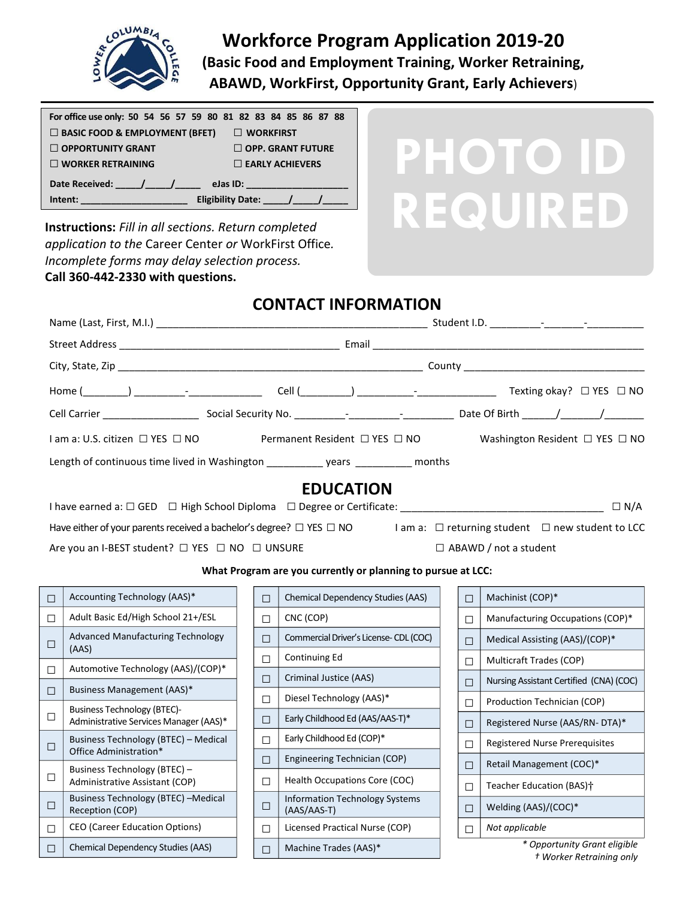

# **Workforce Program Application 2019-20 (Basic Food and Employment Training, Worker Retraining, ABAWD, WorkFirst, Opportunity Grant, Early Achievers**)

**PHOTO ID**

| For office use only: 50 54 56 57 59 80 81 82 83 84 85 86 87 88 |  |
|----------------------------------------------------------------|--|
|                                                                |  |
| $\Box$ BASIC FOOD & EMPLOYMENT (BFET)<br>$\Box$ WORKFIRST      |  |
| $\Box$ OPPORTUNITY GRANT<br>$\Box$ OPP. GRANT FUTURE           |  |
| $\Box$ WORKER RETRAINING<br>$\Box$ EARLY ACHIEVERS             |  |
| <b>Date Received:</b><br>eJas ID:                              |  |
| <b>Eligibility Date:</b><br>Intent:                            |  |
| <b>Instructions:</b> Fill in all sections. Return completed    |  |

*application to the* Career Center *or* WorkFirst Office*. Incomplete forms may delay selection process.*

#### **Call 360-442-2330 with questions.**

□

□

□

□

Business Technology (BTEC)-

Business Technology (BTEC) – Administrative Assistant (COP)

□ CEO (Career Education Options)  $\Box$  Chemical Dependency Studies (AAS)

Office Administration\*

Reception (COP)

Administrative Services Manager (AAS)\*

Business Technology (BTEC) – Medical

Business Technology (BTEC) –Medical

## **CONTACT INFORMATION**

| $I$ am a: U.S. citizen $\Box$ YES $\Box$ NO                                                                                               |  |        |                                                              |        | Permanent Resident $\Box$ YES $\Box$ NO $\Box$ Washington Resident $\Box$ YES $\Box$ NO |
|-------------------------------------------------------------------------------------------------------------------------------------------|--|--------|--------------------------------------------------------------|--------|-----------------------------------------------------------------------------------------|
| Length of continuous time lived in Washington _______________ years _____________ months                                                  |  |        |                                                              |        |                                                                                         |
|                                                                                                                                           |  |        | <b>EDUCATION</b>                                             |        |                                                                                         |
|                                                                                                                                           |  |        |                                                              |        | $\Box$ N/A                                                                              |
| Have either of your parents received a bachelor's degree? $\Box$ YES $\Box$ NO I am a: $\Box$ returning student $\Box$ new student to LCC |  |        |                                                              |        |                                                                                         |
| Are you an I-BEST student? □ YES □ NO □ UNSURE                                                                                            |  |        |                                                              |        | $\Box$ ABAWD / not a student                                                            |
|                                                                                                                                           |  |        | What Program are you currently or planning to pursue at LCC: |        |                                                                                         |
| Accounting Technology (AAS)*<br>$\Box$                                                                                                    |  | $\Box$ | <b>Chemical Dependency Studies (AAS)</b>                     | $\Box$ | Machinist (COP)*                                                                        |
| Adult Basic Ed/High School 21+/ESL<br>$\Box$                                                                                              |  | $\Box$ | CNC (COP)                                                    | $\Box$ | Manufacturing Occupations (COP)*                                                        |
| Advanced Manufacturing Technology<br>$\Box$                                                                                               |  | П      | Commercial Driver's License-CDL (COC)                        | $\Box$ | Medical Assisting (AAS)/(COP)*                                                          |
| (AAS)                                                                                                                                     |  | П      | Continuing Ed                                                | $\Box$ | Multicraft Trades (COP)                                                                 |
| Automotive Technology (AAS)/(COP)*<br>$\Box$                                                                                              |  | $\Box$ | Criminal Justice (AAS)                                       | $\Box$ | Nursing Assistant Certified (CNA) (COC)                                                 |
| Business Management (AAS)*<br>$\Box$<br>$D_{\text{total}}$ and $E_{\text{total}}$ and $E_{\text{total}}$ and $D_{\text{total}}$           |  | П      | Diesel Technology (AAS)*                                     | $\Box$ | Production Technician (COP)                                                             |

□ Early Childhood Ed (AAS/AAS-T)\*

 $\Box$  Engineering Technician (COP) □ Health Occupations Core (COC)

□ Licensed Practical Nurse (COP)

Information Technology Systems

□ Early Childhood Ed (COP)\*

(AAS/AAS-T)

□ | Machine Trades (AAS)\*

□

*\* Opportunity Grant eligible † Worker Retraining only*

□ Registered Nurse (AAS/RN- DTA)\* □ Registered Nurse Prerequisites  $\Box$  Retail Management (COC)\*

□ Teacher Education (BAS)†  $\Box$  Welding (AAS)/(COC)\*

□ *Not applicable*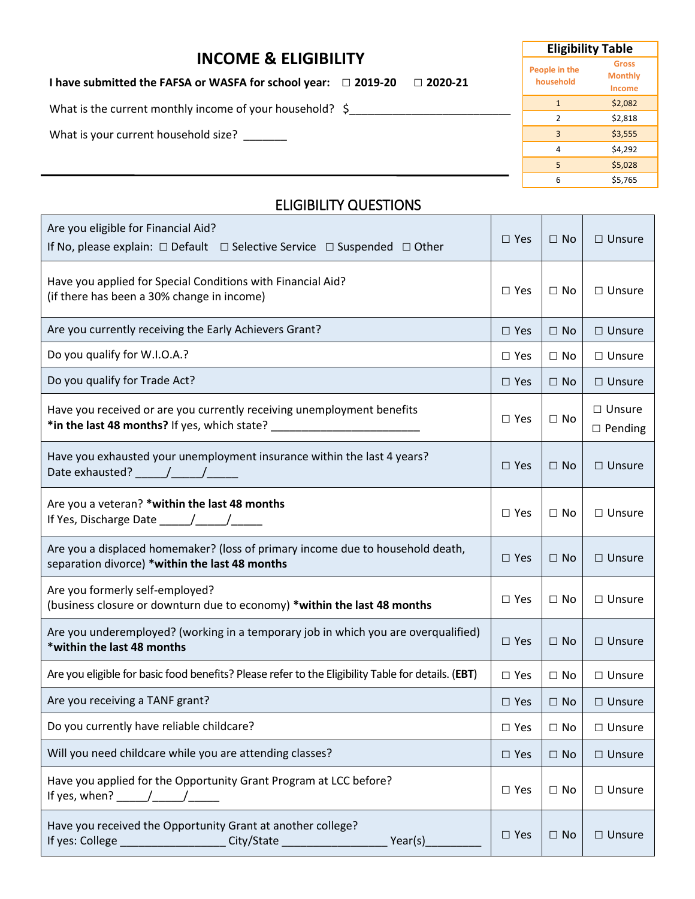#### **INCOME & ELIGIBILITY**

**I have submitted the FAFSA or WASFA for school year: □ 2019-20 □ 2020-21**

What is the current monthly income of your household?  $\sin \frac{2\pi}{3}$ 

What is your current household size? \_\_\_\_\_\_\_

| <b>Eligibility Table</b> |  |  |  |  |  |
|--------------------------|--|--|--|--|--|
| Gross                    |  |  |  |  |  |
| <b>Monthly</b>           |  |  |  |  |  |
| <b>Income</b>            |  |  |  |  |  |
| \$2,082                  |  |  |  |  |  |
| \$2,818                  |  |  |  |  |  |
| \$3,555                  |  |  |  |  |  |
| \$4.292                  |  |  |  |  |  |
| \$5.028                  |  |  |  |  |  |
| \$5,765                  |  |  |  |  |  |
|                          |  |  |  |  |  |

#### ELIGIBILITY QUESTIONS

| Are you eligible for Financial Aid?<br>If No, please explain: $\Box$ Default $\Box$ Selective Service $\Box$ Suspended $\Box$ Other                                                                                                                                                                                                                                                                                                                                                     | $\Box$ Yes    | $\Box$ No    | $\Box$ Unsure                   |
|-----------------------------------------------------------------------------------------------------------------------------------------------------------------------------------------------------------------------------------------------------------------------------------------------------------------------------------------------------------------------------------------------------------------------------------------------------------------------------------------|---------------|--------------|---------------------------------|
| Have you applied for Special Conditions with Financial Aid?<br>(if there has been a 30% change in income)                                                                                                                                                                                                                                                                                                                                                                               | $\Box$ Yes    | $\Box$ No    | $\Box$ Unsure                   |
| Are you currently receiving the Early Achievers Grant?                                                                                                                                                                                                                                                                                                                                                                                                                                  | $\Box$ Yes    | $\Box$ No    | $\Box$ Unsure                   |
| Do you qualify for W.I.O.A.?                                                                                                                                                                                                                                                                                                                                                                                                                                                            | $\Box$ Yes    | $\Box$ No    | $\Box$ Unsure                   |
| Do you qualify for Trade Act?                                                                                                                                                                                                                                                                                                                                                                                                                                                           | $\Box$ Yes    | $\square$ No | $\Box$ Unsure                   |
| Have you received or are you currently receiving unemployment benefits<br>*in the last 48 months? If yes, which state? ___________________________________                                                                                                                                                                                                                                                                                                                              | $\Box$ Yes    | $\Box$ No    | $\Box$ Unsure<br>$\Box$ Pending |
| Have you exhausted your unemployment insurance within the last 4 years?<br>Date exhausted? $\sqrt{2\pi}$                                                                                                                                                                                                                                                                                                                                                                                | $\square$ Yes | $\Box$ No    | $\Box$ Unsure                   |
| Are you a veteran? *within the last 48 months                                                                                                                                                                                                                                                                                                                                                                                                                                           | $\square$ Yes | $\Box$ No    | $\Box$ Unsure                   |
| Are you a displaced homemaker? (loss of primary income due to household death,<br>separation divorce) *within the last 48 months                                                                                                                                                                                                                                                                                                                                                        | $\Box$ Yes    | $\Box$ No    | $\Box$ Unsure                   |
| Are you formerly self-employed?<br>(business closure or downturn due to economy) *within the last 48 months                                                                                                                                                                                                                                                                                                                                                                             | $\Box$ Yes    | $\Box$ No    | $\Box$ Unsure                   |
| Are you underemployed? (working in a temporary job in which you are overqualified)<br>*within the last 48 months                                                                                                                                                                                                                                                                                                                                                                        | $\Box$ Yes    | $\Box$ No    | $\Box$ Unsure                   |
| Are you eligible for basic food benefits? Please refer to the Eligibility Table for details. (EBT)                                                                                                                                                                                                                                                                                                                                                                                      | $\Box$ Yes    | $\Box$ No    | $\Box$ Unsure                   |
| Are you receiving a TANF grant?                                                                                                                                                                                                                                                                                                                                                                                                                                                         | $\Box$ Yes    | $\Box$ No    | $\Box$ Unsure                   |
| Do you currently have reliable childcare?                                                                                                                                                                                                                                                                                                                                                                                                                                               | $\square$ Yes | $\Box$ No    | $\Box$ Unsure                   |
| Will you need childcare while you are attending classes?                                                                                                                                                                                                                                                                                                                                                                                                                                | $\square$ Yes | $\square$ No | $\square$ Unsure                |
| Have you applied for the Opportunity Grant Program at LCC before?<br>If yes, when? $\frac{1}{\sqrt{1-\frac{1}{2}}}\frac{1}{\sqrt{1-\frac{1}{2}}}\frac{1}{\sqrt{1-\frac{1}{2}}}\frac{1}{\sqrt{1-\frac{1}{2}}}\frac{1}{\sqrt{1-\frac{1}{2}}}\frac{1}{\sqrt{1-\frac{1}{2}}}\frac{1}{\sqrt{1-\frac{1}{2}}}\frac{1}{\sqrt{1-\frac{1}{2}}}\frac{1}{\sqrt{1-\frac{1}{2}}}\frac{1}{\sqrt{1-\frac{1}{2}}}\frac{1}{\sqrt{1-\frac{1}{2}}}\frac{1}{\sqrt{1-\frac{1}{2}}}\frac{1}{\sqrt{1-\frac{1}{$ | $\square$ Yes | $\Box$ No    | $\Box$ Unsure                   |
| Have you received the Opportunity Grant at another college?<br>City/State ________________<br>Year(s) $\_$                                                                                                                                                                                                                                                                                                                                                                              | $\square$ Yes | $\square$ No | $\Box$ Unsure                   |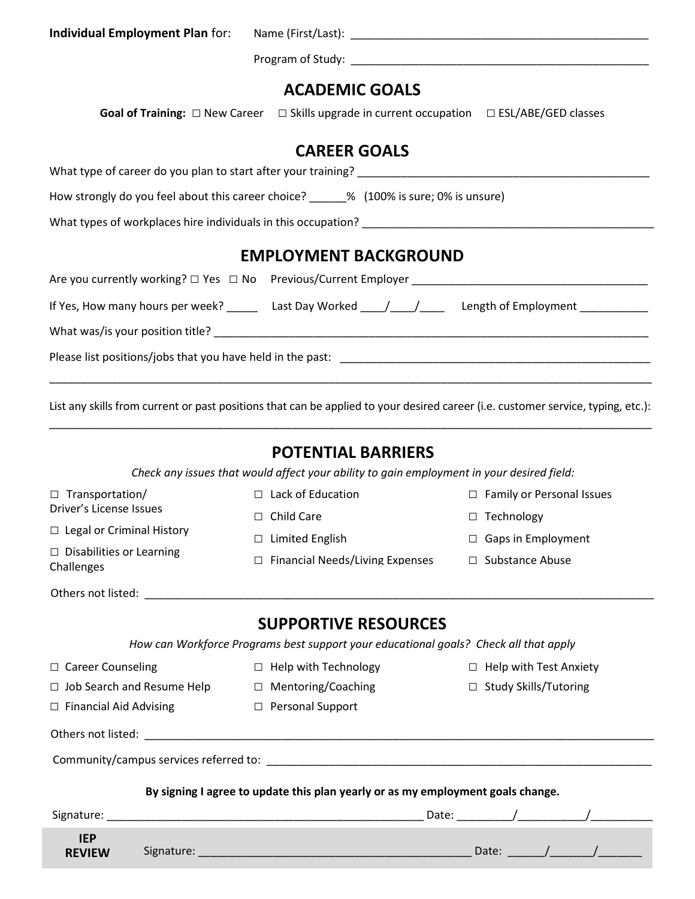| Individual Employment Plan for: | Name (First/Last): |
|---------------------------------|--------------------|
|                                 | Program of Study:  |

## **ACADEMIC GOALS**

Goal of Training: □ New Career □ Skills upgrade in current occupation □ ESL/ABE/GED classes

## **CAREER GOALS**

| <b>EMPLOYMENT BACKGROUND</b>                                                        |  |  |  |  |
|-------------------------------------------------------------------------------------|--|--|--|--|
| What types of workplaces hire individuals in this occupation?                       |  |  |  |  |
| How strongly do you feel about this career choice? 4.4 (100% is sure; 0% is unsure) |  |  |  |  |
| What type of career do you plan to start after your training?                       |  |  |  |  |

| Are you currently working? $\Box$ Yes $\Box$ No Previous/Current Employer |                                                  |                      |
|---------------------------------------------------------------------------|--------------------------------------------------|----------------------|
| If Yes, How many hours per week?                                          | Last Day Worked $\frac{1}{\sqrt{1-\frac{1}{2}}}$ | Length of Employment |
| What was/is your position title?                                          |                                                  |                      |
| Please list positions/jobs that you have held in the past:                |                                                  |                      |
|                                                                           |                                                  |                      |

List any skills from current or past positions that can be applied to your desired career (i.e. customer service, typing, etc.): \_\_\_\_\_\_\_\_\_\_\_\_\_\_\_\_\_\_\_\_\_\_\_\_\_\_\_\_\_\_\_\_\_\_\_\_\_\_\_\_\_\_\_\_\_\_\_\_\_\_\_\_\_\_\_\_\_\_\_\_\_\_\_\_\_\_\_\_\_\_\_\_\_\_\_\_\_\_\_\_\_\_\_\_\_\_\_\_\_\_\_\_\_\_\_\_\_

#### **POTENTIAL BARRIERS**

*Check any issues that would affect your ability to gain employment in your desired field:*

| $\Box$ Transportation/                        |  |                                        | $\Box$ Lack of Education                                                             |  | $\Box$ Family or Personal Issues |  |  |
|-----------------------------------------------|--|----------------------------------------|--------------------------------------------------------------------------------------|--|----------------------------------|--|--|
| Driver's License Issues                       |  | $\Box$ Child Care                      |                                                                                      |  | □ Technology                     |  |  |
| $\Box$ Legal or Criminal History              |  |                                        | $\Box$ Limited English                                                               |  | $\Box$ Gaps in Employment        |  |  |
| $\Box$ Disabilities or Learning<br>Challenges |  | $\Box$ Financial Needs/Living Expenses |                                                                                      |  | $\Box$ Substance Abuse           |  |  |
|                                               |  |                                        |                                                                                      |  |                                  |  |  |
|                                               |  |                                        | <b>SUPPORTIVE RESOURCES</b>                                                          |  |                                  |  |  |
|                                               |  |                                        | How can Workforce Programs best support your educational goals? Check all that apply |  |                                  |  |  |
| □ Career Counseling                           |  |                                        | $\Box$ Help with Technology                                                          |  | $\Box$ Help with Test Anxiety    |  |  |
|                                               |  |                                        | $\Box$ Job Search and Resume Help $\Box$ Mentoring/Coaching                          |  | $\Box$ Study Skills/Tutoring     |  |  |
| $\Box$ Financial Aid Advising                 |  |                                        | □ Personal Support                                                                   |  |                                  |  |  |
|                                               |  |                                        |                                                                                      |  |                                  |  |  |
|                                               |  |                                        |                                                                                      |  |                                  |  |  |
|                                               |  |                                        | By signing I agree to update this plan yearly or as my employment goals change.      |  |                                  |  |  |
|                                               |  |                                        |                                                                                      |  |                                  |  |  |
| <b>IEP</b><br><b>REVIEW</b>                   |  |                                        |                                                                                      |  |                                  |  |  |
|                                               |  |                                        |                                                                                      |  |                                  |  |  |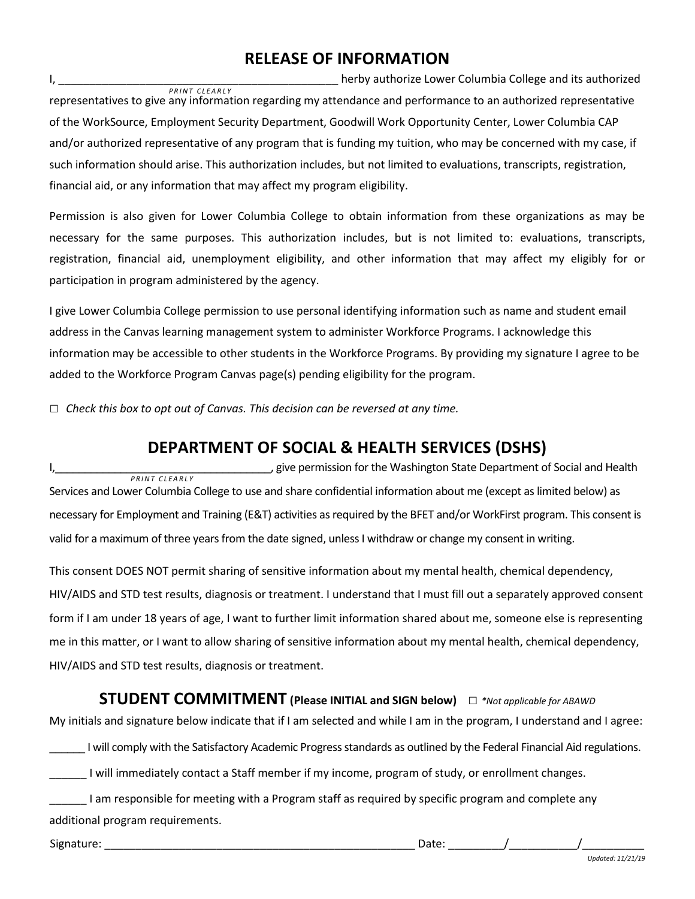### **RELEASE OF INFORMATION**

I, \_\_\_\_\_\_\_\_\_\_\_\_\_\_\_\_\_\_\_\_\_\_\_\_\_\_\_\_\_\_\_\_\_\_\_\_\_\_\_\_\_\_\_\_\_ herby authorize Lower Columbia College and its authorized representatives to give any information regarding my attendance and performance to an authorized representative of the WorkSource, Employment Security Department, Goodwill Work Opportunity Center, Lower Columbia CAP and/or authorized representative of any program that is funding my tuition, who may be concerned with my case, if such information should arise. This authorization includes, but not limited to evaluations, transcripts, registration, financial aid, or any information that may affect my program eligibility. **PRINT CLEARLY** 

Permission is also given for Lower Columbia College to obtain information from these organizations as may be necessary for the same purposes. This authorization includes, but is not limited to: evaluations, transcripts, registration, financial aid, unemployment eligibility, and other information that may affect my eligibly for or participation in program administered by the agency.

I give Lower Columbia College permission to use personal identifying information such as name and student email address in the Canvas learning management system to administer Workforce Programs. I acknowledge this information may be accessible to other students in the Workforce Programs. By providing my signature I agree to be added to the Workforce Program Canvas page(s) pending eligibility for the program.

□ Check this box to opt out of Canvas. This decision can be reversed at any time.

### **DEPARTMENT OF SOCIAL & HEALTH SERVICES (DSHS)**

I,\_\_\_\_\_\_\_\_\_\_\_\_\_\_\_\_\_\_\_\_\_\_\_\_\_\_\_\_\_\_\_\_\_\_\_\_, give permission for the Washington State Department of Social and Health Services and Lower Columbia College to use and share confidential information about me (except as limited below) as necessary for Employment and Training (E&T) activities as required by the BFET and/or WorkFirst program. This consent is valid for a maximum of three years from the date signed, unless I withdraw or change my consent in writing. *P R I N T C L E A R L Y*

This consent DOES NOT permit sharing of sensitive information about my mental health, chemical dependency, HIV/AIDS and STD test results, diagnosis or treatment. I understand that I must fill out a separately approved consent form if I am under 18 years of age, I want to further limit information shared about me, someone else is representing me in this matter, or I want to allow sharing of sensitive information about my mental health, chemical dependency, HIV/AIDS and STD test results, diagnosis or treatment.

#### **STUDENT COMMITMENT (Please INITIAL and SIGN below)** □ *\*Not applicable for ABAWD*

My initials and signature below indicate that if I am selected and while I am in the program, I understand and I agree:

I will comply with the Satisfactory Academic Progress standards as outlined by the Federal Financial Aid regulations.

\_\_\_\_\_\_ I will immediately contact a Staff member if my income, program of study, or enrollment changes.

| I am responsible for meeting with a Program staff as required by specific program and complete any |  |
|----------------------------------------------------------------------------------------------------|--|
| additional program requirements.                                                                   |  |

Signature: \_\_\_\_\_\_\_\_\_\_\_\_\_\_\_\_\_\_\_\_\_\_\_\_\_\_\_\_\_\_\_\_\_\_\_\_\_\_\_\_\_\_\_\_\_\_\_\_\_\_ Date: \_\_\_\_\_\_\_\_\_/\_\_\_\_\_\_\_\_\_\_\_/\_\_\_\_\_\_\_\_\_\_